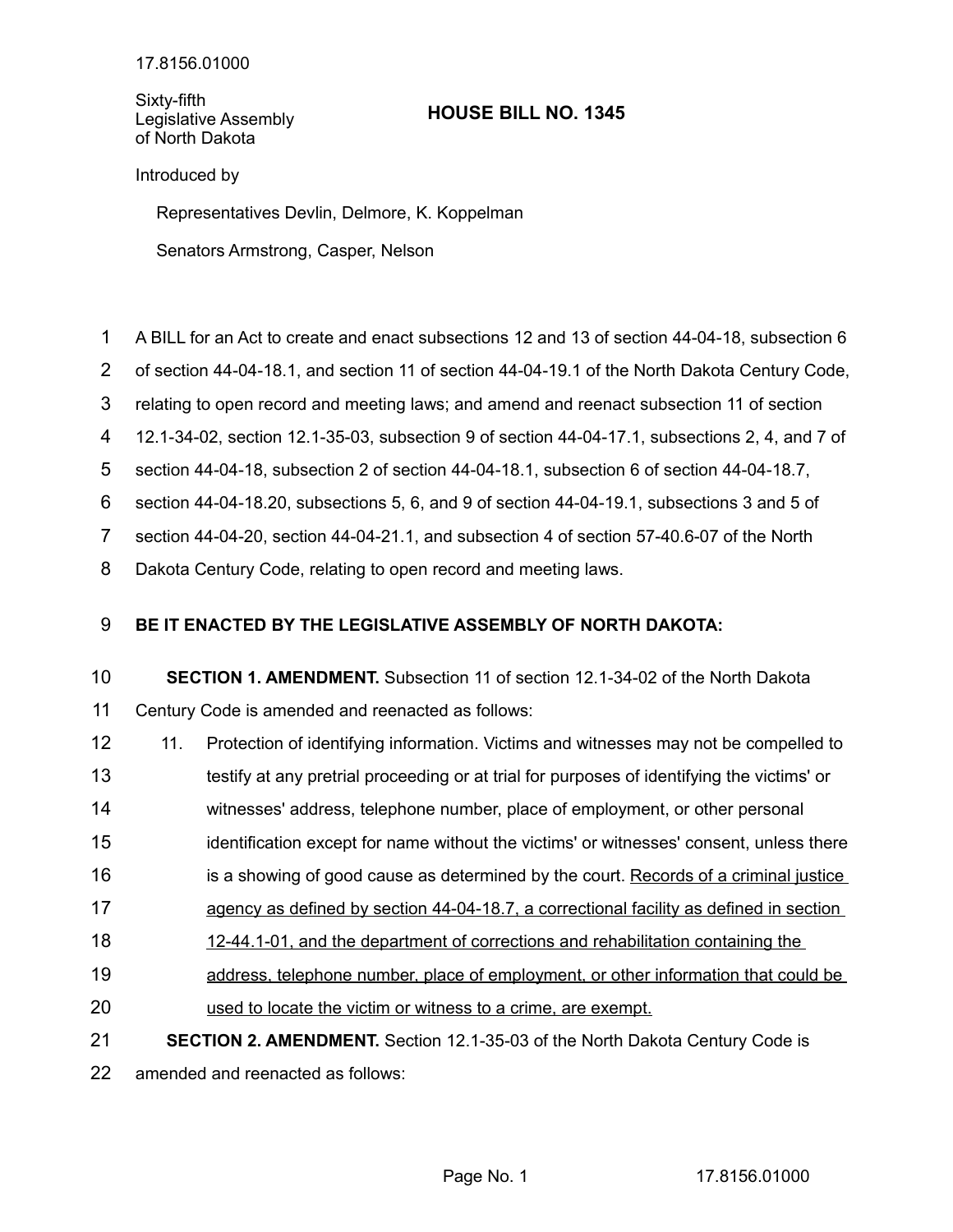Sixty-fifth Legislative Assembly of North Dakota

## **HOUSE BILL NO. 1345**

## Introduced by

Representatives Devlin, Delmore, K. Koppelman

Senators Armstrong, Casper, Nelson

- A BILL for an Act to create and enact subsections 12 and 13 of section 44-04-18, subsection 6 1
- of section 44-04-18.1, and section 11 of section 44-04-19.1 of the North Dakota Century Code, 2
- relating to open record and meeting laws; and amend and reenact subsection 11 of section 3
- 12.1-34-02, section 12.1-35-03, subsection 9 of section 44-04-17.1, subsections 2, 4, and 7 of 4
- section 44-04-18, subsection 2 of section 44-04-18.1, subsection 6 of section 44-04-18.7, 5

section 44-04-18.20, subsections 5, 6, and 9 of section 44-04-19.1, subsections 3 and 5 of 6

section 44-04-20, section 44-04-21.1, and subsection 4 of section 57-40.6-07 of the North 7

Dakota Century Code, relating to open record and meeting laws. 8

## **BE IT ENACTED BY THE LEGISLATIVE ASSEMBLY OF NORTH DAKOTA:** 9

## **SECTION 1. AMENDMENT.** Subsection 11 of section 12.1-34-02 of the North Dakota Century Code is amended and reenacted as follows: 10 11

- 11. Protection of identifying information. Victims and witnesses may not be compelled to 12
- testify at any pretrial proceeding or at trial for purposes of identifying the victims' or 13
- witnesses' address, telephone number, place of employment, or other personal 14
- identification except for name without the victims' or witnesses' consent, unless there 15
- is a showing of good cause as determined by the court. Records of a criminal justice 16
- agency as defined by section 44-04-18.7, a correctional facility as defined in section 17
- 12-44.1-01, and the department of corrections and rehabilitation containing the 18
- address, telephone number, place of employment, or other information that could be 19
- used to locate the victim or witness to a crime, are exempt. 20
- **SECTION 2. AMENDMENT.** Section 12.1-35-03 of the North Dakota Century Code is 21

amended and reenacted as follows: 22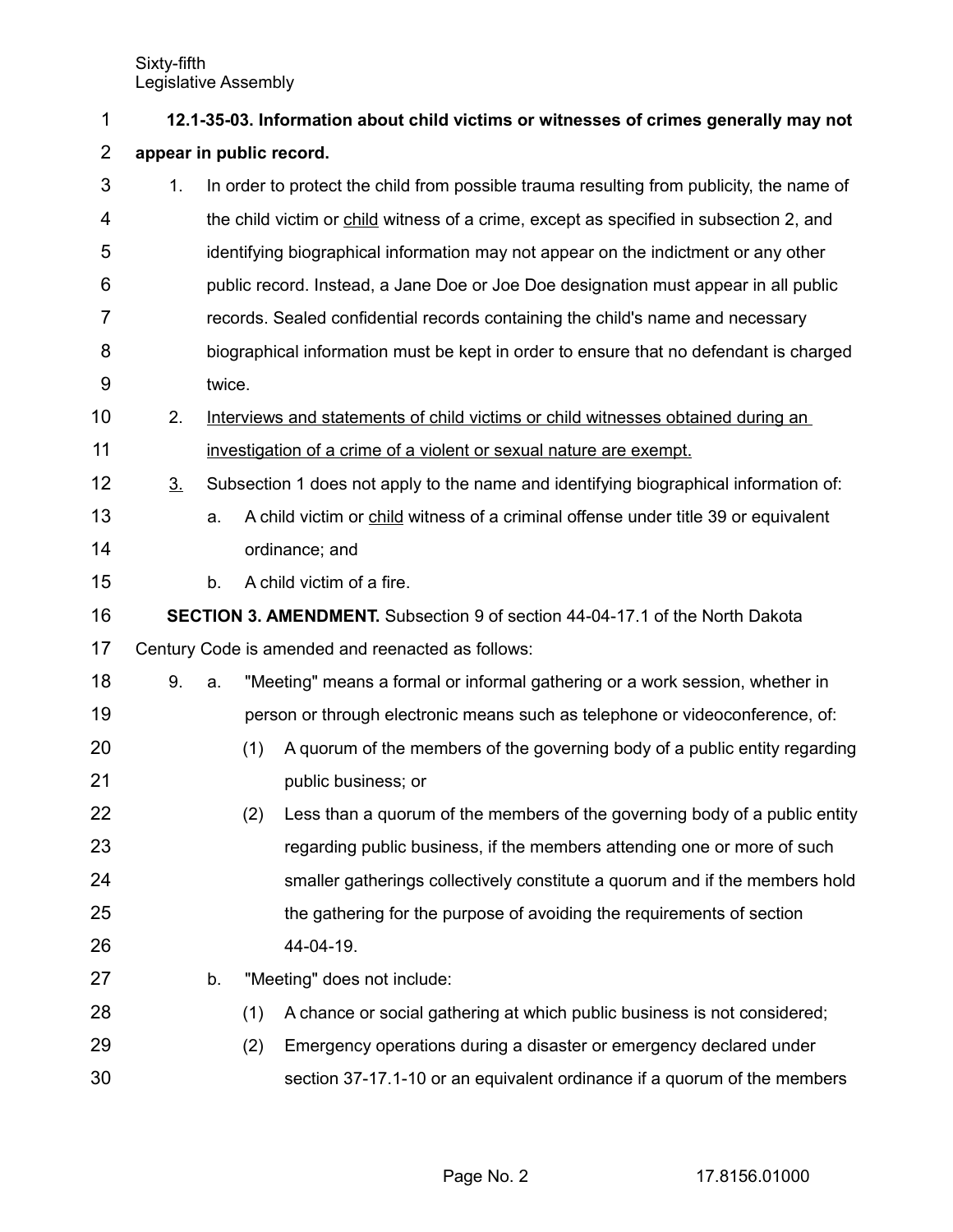| 1              | 12.1-35-03. Information about child victims or witnesses of crimes generally may not |        |                                                                                      |                                                                                          |  |  |  |  |  |
|----------------|--------------------------------------------------------------------------------------|--------|--------------------------------------------------------------------------------------|------------------------------------------------------------------------------------------|--|--|--|--|--|
| $\overline{2}$ | appear in public record.                                                             |        |                                                                                      |                                                                                          |  |  |  |  |  |
| 3              | 1.                                                                                   |        |                                                                                      | In order to protect the child from possible trauma resulting from publicity, the name of |  |  |  |  |  |
| 4              |                                                                                      |        |                                                                                      | the child victim or child witness of a crime, except as specified in subsection 2, and   |  |  |  |  |  |
| 5              |                                                                                      |        |                                                                                      | identifying biographical information may not appear on the indictment or any other       |  |  |  |  |  |
| 6              |                                                                                      |        | public record. Instead, a Jane Doe or Joe Doe designation must appear in all public  |                                                                                          |  |  |  |  |  |
| 7              |                                                                                      |        | records. Sealed confidential records containing the child's name and necessary       |                                                                                          |  |  |  |  |  |
| 8              |                                                                                      |        |                                                                                      | biographical information must be kept in order to ensure that no defendant is charged    |  |  |  |  |  |
| 9              |                                                                                      | twice. |                                                                                      |                                                                                          |  |  |  |  |  |
| 10             | 2.                                                                                   |        |                                                                                      | Interviews and statements of child victims or child witnesses obtained during an         |  |  |  |  |  |
| 11             |                                                                                      |        | investigation of a crime of a violent or sexual nature are exempt.                   |                                                                                          |  |  |  |  |  |
| 12             | 3 <sub>1</sub>                                                                       |        | Subsection 1 does not apply to the name and identifying biographical information of: |                                                                                          |  |  |  |  |  |
| 13             |                                                                                      | a.     |                                                                                      | A child victim or child witness of a criminal offense under title 39 or equivalent       |  |  |  |  |  |
| 14             |                                                                                      |        |                                                                                      | ordinance; and                                                                           |  |  |  |  |  |
| 15             |                                                                                      | b.     |                                                                                      | A child victim of a fire.                                                                |  |  |  |  |  |
| 16             | <b>SECTION 3. AMENDMENT.</b> Subsection 9 of section 44-04-17.1 of the North Dakota  |        |                                                                                      |                                                                                          |  |  |  |  |  |
| 17             |                                                                                      |        |                                                                                      | Century Code is amended and reenacted as follows:                                        |  |  |  |  |  |
| 18             | 9.                                                                                   | a.     |                                                                                      | "Meeting" means a formal or informal gathering or a work session, whether in             |  |  |  |  |  |
| 19             |                                                                                      |        |                                                                                      | person or through electronic means such as telephone or videoconference, of:             |  |  |  |  |  |
| 20             |                                                                                      |        | (1)                                                                                  | A quorum of the members of the governing body of a public entity regarding               |  |  |  |  |  |
| 21             |                                                                                      |        |                                                                                      | public business; or                                                                      |  |  |  |  |  |
| 22             |                                                                                      |        | (2)                                                                                  | Less than a quorum of the members of the governing body of a public entity               |  |  |  |  |  |
| 23             |                                                                                      |        |                                                                                      | regarding public business, if the members attending one or more of such                  |  |  |  |  |  |
| 24             |                                                                                      |        |                                                                                      | smaller gatherings collectively constitute a quorum and if the members hold              |  |  |  |  |  |
| 25             |                                                                                      |        |                                                                                      | the gathering for the purpose of avoiding the requirements of section                    |  |  |  |  |  |
| 26             |                                                                                      |        |                                                                                      | 44-04-19.                                                                                |  |  |  |  |  |
| 27             |                                                                                      | b.     |                                                                                      | "Meeting" does not include:                                                              |  |  |  |  |  |
| 28             |                                                                                      |        | (1)                                                                                  | A chance or social gathering at which public business is not considered;                 |  |  |  |  |  |
| 29             |                                                                                      |        | (2)                                                                                  | Emergency operations during a disaster or emergency declared under                       |  |  |  |  |  |
| 30             |                                                                                      |        |                                                                                      | section 37-17.1-10 or an equivalent ordinance if a quorum of the members                 |  |  |  |  |  |

Page No. 2 17.8156.01000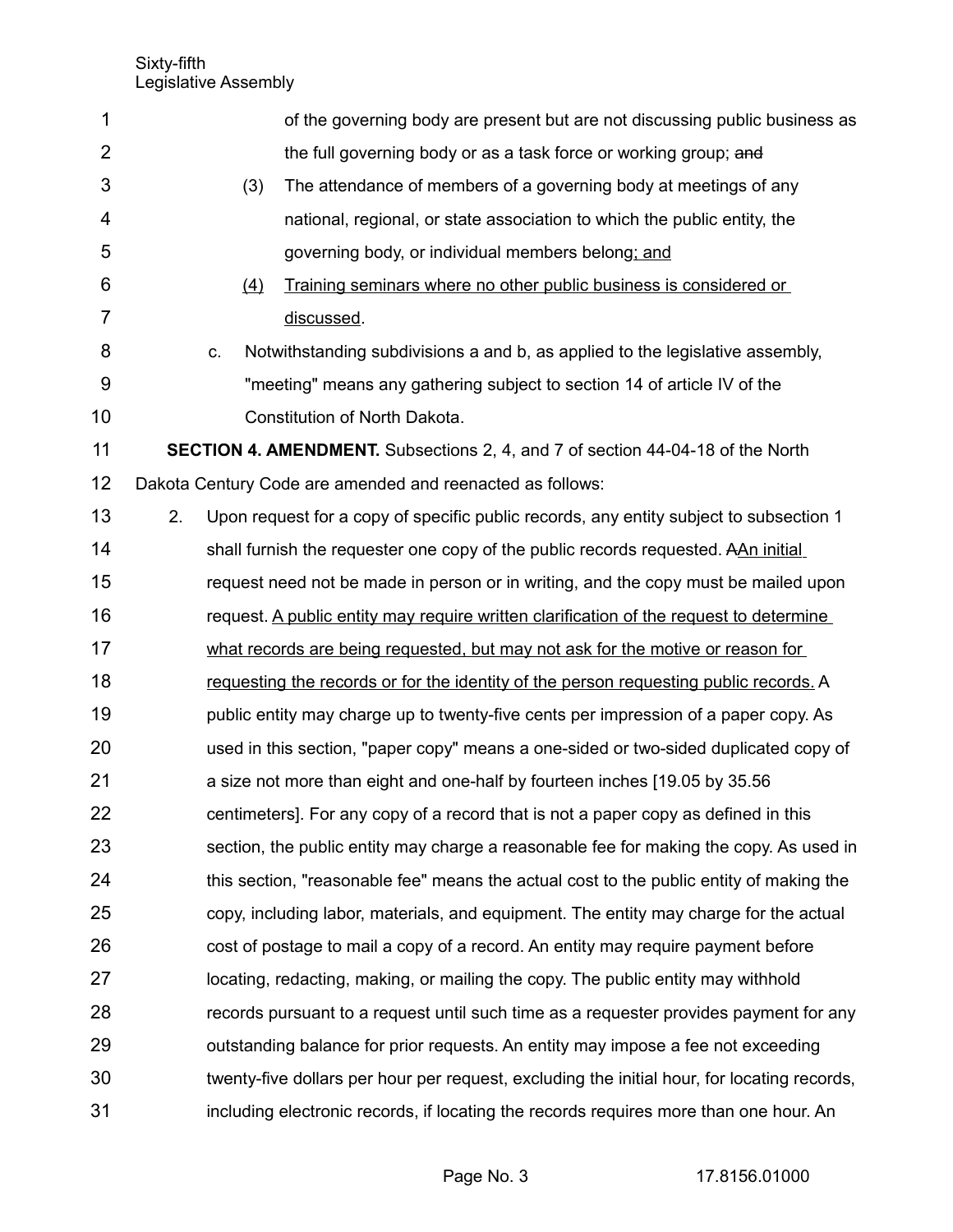| 1              |                                                                                       |                                                                                | of the governing body are present but are not discussing public business as                 |  |  |  |  |
|----------------|---------------------------------------------------------------------------------------|--------------------------------------------------------------------------------|---------------------------------------------------------------------------------------------|--|--|--|--|
| $\overline{2}$ |                                                                                       |                                                                                | the full governing body or as a task force or working group; and                            |  |  |  |  |
| 3              |                                                                                       | (3)                                                                            | The attendance of members of a governing body at meetings of any                            |  |  |  |  |
| 4              |                                                                                       |                                                                                | national, regional, or state association to which the public entity, the                    |  |  |  |  |
| 5              |                                                                                       |                                                                                | governing body, or individual members belong; and                                           |  |  |  |  |
| 6              |                                                                                       | (4)                                                                            | Training seminars where no other public business is considered or                           |  |  |  |  |
| 7              |                                                                                       |                                                                                | discussed.                                                                                  |  |  |  |  |
| 8              |                                                                                       | C.                                                                             | Notwithstanding subdivisions a and b, as applied to the legislative assembly,               |  |  |  |  |
| 9              |                                                                                       |                                                                                | "meeting" means any gathering subject to section 14 of article IV of the                    |  |  |  |  |
| 10             |                                                                                       |                                                                                | Constitution of North Dakota.                                                               |  |  |  |  |
| 11             | <b>SECTION 4. AMENDMENT.</b> Subsections 2, 4, and 7 of section 44-04-18 of the North |                                                                                |                                                                                             |  |  |  |  |
| 12             |                                                                                       |                                                                                | Dakota Century Code are amended and reenacted as follows:                                   |  |  |  |  |
| 13             | 2.                                                                                    |                                                                                | Upon request for a copy of specific public records, any entity subject to subsection 1      |  |  |  |  |
| 14             |                                                                                       |                                                                                | shall furnish the requester one copy of the public records requested. AAn initial           |  |  |  |  |
| 15             |                                                                                       |                                                                                | request need not be made in person or in writing, and the copy must be mailed upon          |  |  |  |  |
| 16             |                                                                                       |                                                                                | request. A public entity may require written clarification of the request to determine      |  |  |  |  |
| 17             |                                                                                       | what records are being requested, but may not ask for the motive or reason for |                                                                                             |  |  |  |  |
| 18             |                                                                                       |                                                                                | requesting the records or for the identity of the person requesting public records. A       |  |  |  |  |
| 19             |                                                                                       |                                                                                | public entity may charge up to twenty-five cents per impression of a paper copy. As         |  |  |  |  |
| 20             | used in this section, "paper copy" means a one-sided or two-sided duplicated copy of  |                                                                                |                                                                                             |  |  |  |  |
| 21             |                                                                                       |                                                                                | a size not more than eight and one-half by fourteen inches [19.05 by 35.56]                 |  |  |  |  |
| 22             |                                                                                       |                                                                                | centimeters]. For any copy of a record that is not a paper copy as defined in this          |  |  |  |  |
| 23             |                                                                                       |                                                                                | section, the public entity may charge a reasonable fee for making the copy. As used in      |  |  |  |  |
| 24             |                                                                                       |                                                                                | this section, "reasonable fee" means the actual cost to the public entity of making the     |  |  |  |  |
| 25             |                                                                                       |                                                                                | copy, including labor, materials, and equipment. The entity may charge for the actual       |  |  |  |  |
| 26             |                                                                                       |                                                                                | cost of postage to mail a copy of a record. An entity may require payment before            |  |  |  |  |
| 27             |                                                                                       |                                                                                | locating, redacting, making, or mailing the copy. The public entity may withhold            |  |  |  |  |
| 28             |                                                                                       |                                                                                | records pursuant to a request until such time as a requester provides payment for any       |  |  |  |  |
| 29             |                                                                                       |                                                                                | outstanding balance for prior requests. An entity may impose a fee not exceeding            |  |  |  |  |
| 30             |                                                                                       |                                                                                | twenty-five dollars per hour per request, excluding the initial hour, for locating records, |  |  |  |  |
| 31             |                                                                                       |                                                                                | including electronic records, if locating the records requires more than one hour. An       |  |  |  |  |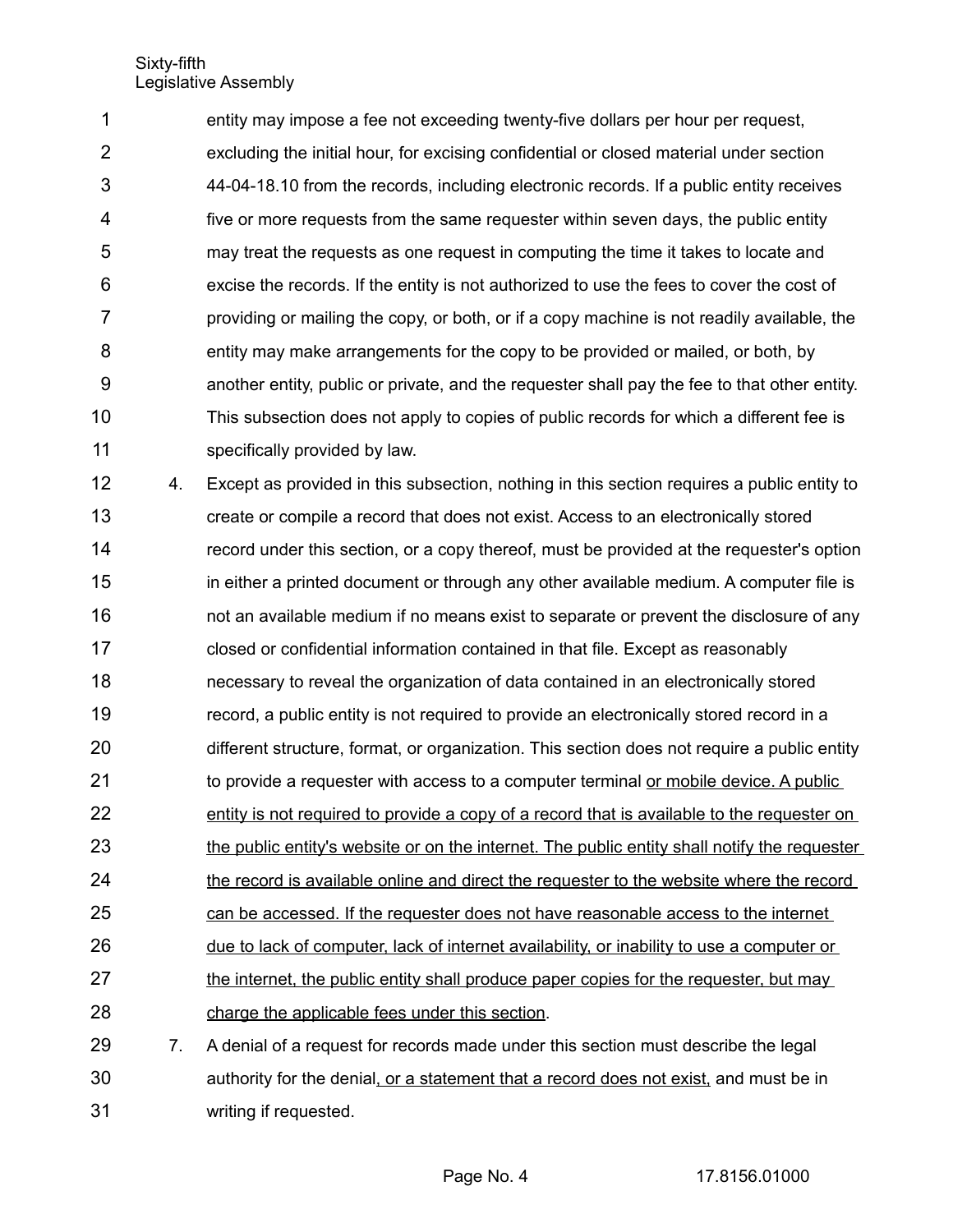entity may impose a fee not exceeding twenty-five dollars per hour per request, excluding the initial hour, for excising confidential or closed material under section 44-04-18.10 from the records, including electronic records. If a public entity receives five or more requests from the same requester within seven days, the public entity may treat the requests as one request in computing the time it takes to locate and excise the records. If the entity is not authorized to use the fees to cover the cost of providing or mailing the copy, or both, or if a copy machine is not readily available, the entity may make arrangements for the copy to be provided or mailed, or both, by another entity, public or private, and the requester shall pay the fee to that other entity. This subsection does not apply to copies of public records for which a different fee is specifically provided by law. 1 2 3 4 5 6 7 8 9 10 11

4. Except as provided in this subsection, nothing in this section requires a public entity to create or compile a record that does not exist. Access to an electronically stored record under this section, or a copy thereof, must be provided at the requester's option in either a printed document or through any other available medium. A computer file is not an available medium if no means exist to separate or prevent the disclosure of any closed or confidential information contained in that file. Except as reasonably necessary to reveal the organization of data contained in an electronically stored record, a public entity is not required to provide an electronically stored record in a different structure, format, or organization. This section does not require a public entity to provide a requester with access to a computer terminal or mobile device. A public entity is not required to provide a copy of a record that is available to the requester on the public entity's website or on the internet. The public entity shall notify the requester the record is available online and direct the requester to the website where the record can be accessed. If the requester does not have reasonable access to the internet due to lack of computer, lack of internet availability, or inability to use a computer or the internet, the public entity shall produce paper copies for the requester, but may charge the applicable fees under this section. 7. A denial of a request for records made under this section must describe the legal 12 13 14 15 16 17 18 19 20 21 22 23 24 25 26 27 28 29

authority for the denial, or a statement that a record does not exist, and must be in writing if requested. 30 31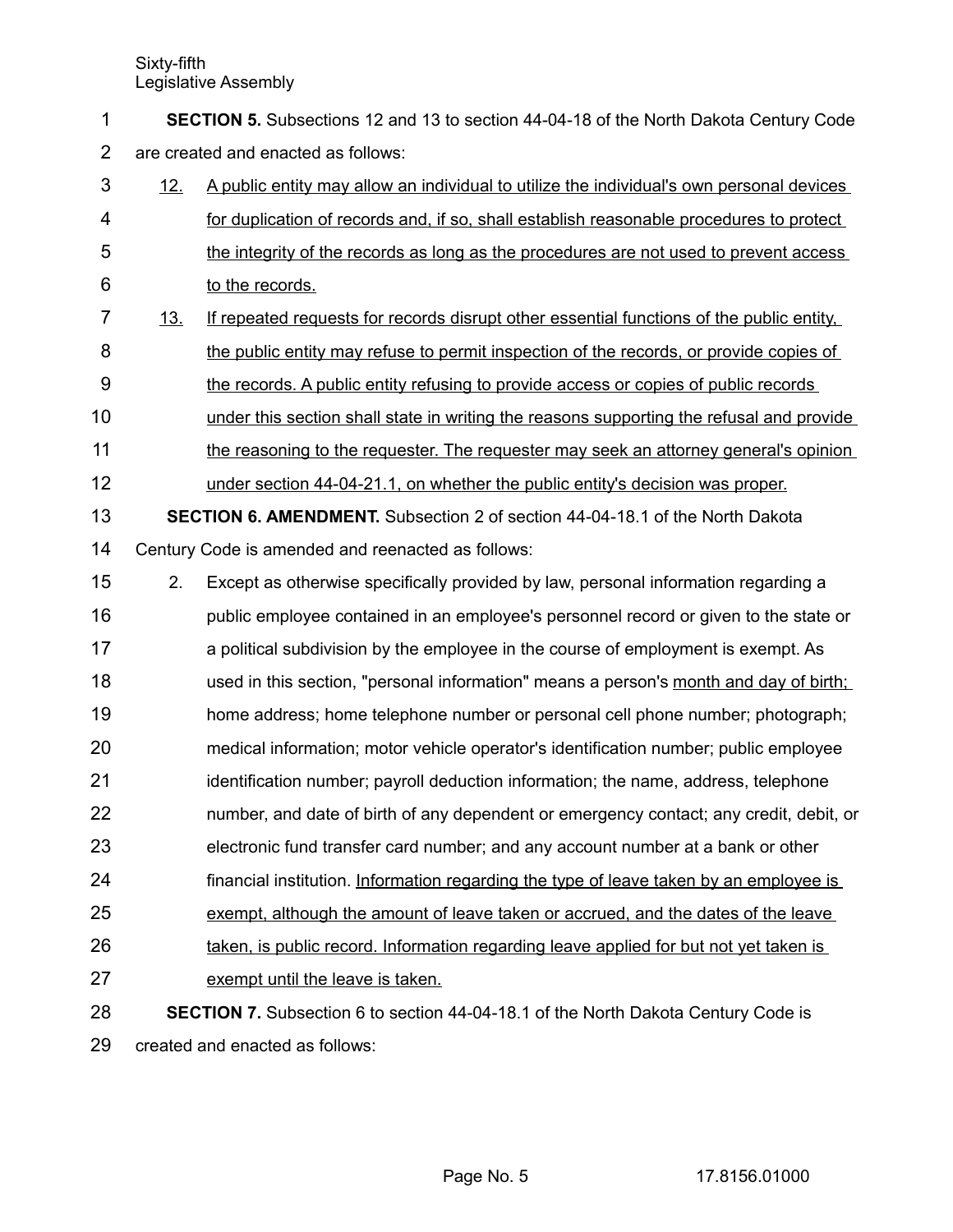**SECTION 5.** Subsections 12 and 13 to section 44-04-18 of the North Dakota Century Code are created and enacted as follows: 1 2

- 12. A public entity may allow an individual to utilize the individual's own personal devices for duplication of records and, if so, shall establish reasonable procedures to protect the integrity of the records as long as the procedures are not used to prevent access to the records. 3 4 5 6
- 13. If repeated requests for records disrupt other essential functions of the public entity, the public entity may refuse to permit inspection of the records, or provide copies of the records. A public entity refusing to provide access or copies of public records 7 8 9
- under this section shall state in writing the reasons supporting the refusal and provide 10
- the reasoning to the requester. The requester may seek an attorney general's opinion 11
- under section 44-04-21.1, on whether the public entity's decision was proper. 12
- **SECTION 6. AMENDMENT.** Subsection 2 of section 44-04-18.1 of the North Dakota Century Code is amended and reenacted as follows: 13 14
- 2. Except as otherwise specifically provided by law, personal information regarding a 15
- public employee contained in an employee's personnel record or given to the state or a political subdivision by the employee in the course of employment is exempt. As used in this section, "personal information" means a person's month and day of birth; home address; home telephone number or personal cell phone number; photograph; medical information; motor vehicle operator's identification number; public employee identification number; payroll deduction information; the name, address, telephone number, and date of birth of any dependent or emergency contact; any credit, debit, or electronic fund transfer card number; and any account number at a bank or other 16 17 18 19 20 21 22 23
- financial institution. Information regarding the type of leave taken by an employee is 24
- exempt, although the amount of leave taken or accrued, and the dates of the leave 25
- taken, is public record. Information regarding leave applied for but not yet taken is 26
- exempt until the leave is taken. 27
- **SECTION 7.** Subsection 6 to section 44-04-18.1 of the North Dakota Century Code is 28

created and enacted as follows: 29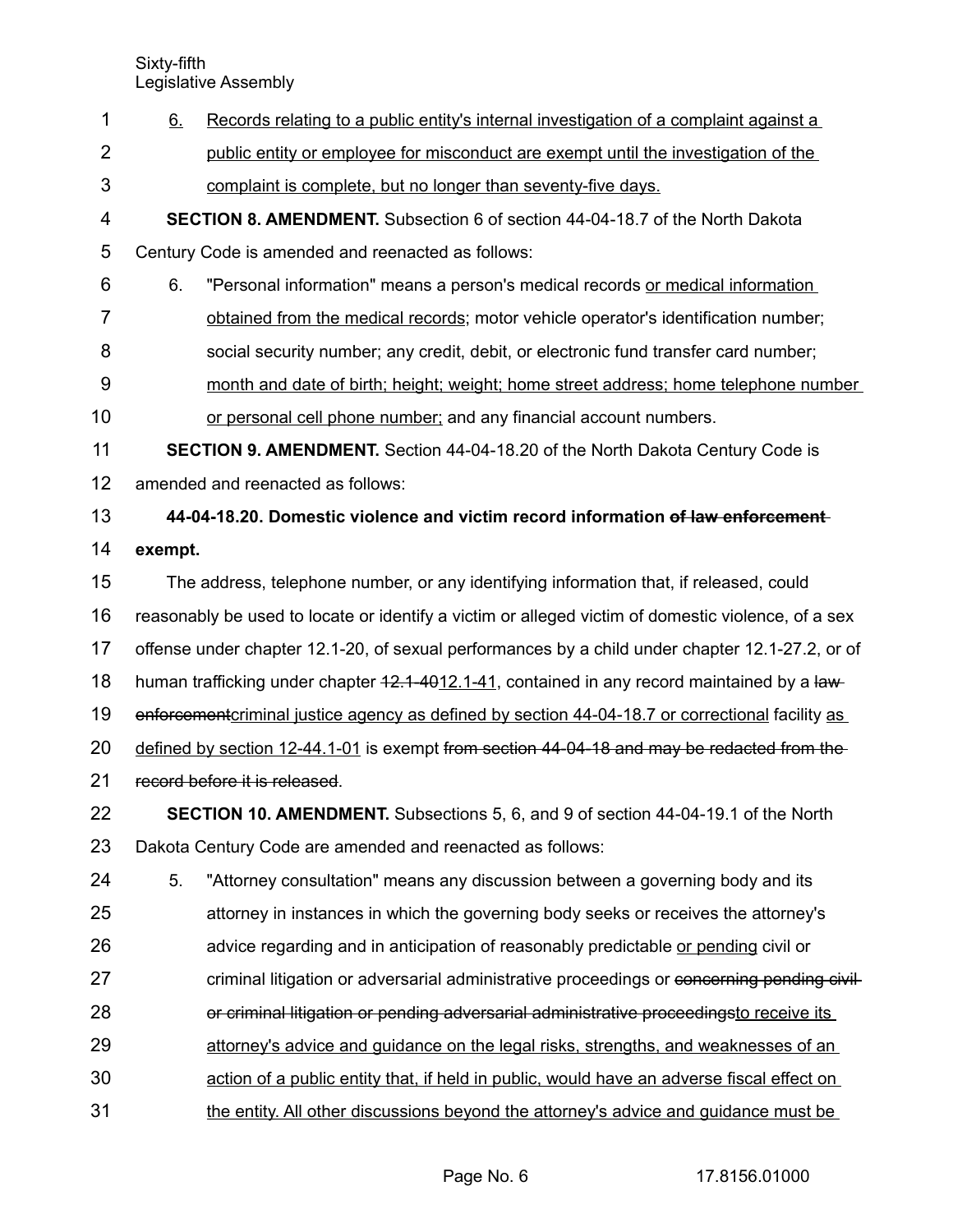6. Records relating to a public entity's internal investigation of a complaint against a public entity or employee for misconduct are exempt until the investigation of the complaint is complete, but no longer than seventy-five days. **SECTION 8. AMENDMENT.** Subsection 6 of section 44-04-18.7 of the North Dakota Century Code is amended and reenacted as follows: 6. "Personal information" means a person's medical records or medical information obtained from the medical records; motor vehicle operator's identification number; social security number; any credit, debit, or electronic fund transfer card number; month and date of birth; height; weight; home street address; home telephone number or personal cell phone number; and any financial account numbers. **SECTION 9. AMENDMENT.** Section 44-04-18.20 of the North Dakota Century Code is amended and reenacted as follows: **44-04-18.20. Domestic violence and victim record information of law enforcement exempt.** The address, telephone number, or any identifying information that, if released, could reasonably be used to locate or identify a victim or alleged victim of domestic violence, of a sex offense under chapter 12.1-20, of sexual performances by a child under chapter 12.1-27.2, or of human trafficking under chapter  $42.1 - 4012.1 - 41$ , contained in any record maintained by a lawenforcement criminal justice agency as defined by section 44-04-18.7 or correctional facility as defined by section 12-44.1-01 is exempt from section 44-04-18 and may be redacted from the record before it is released. **SECTION 10. AMENDMENT.** Subsections 5, 6, and 9 of section 44-04-19.1 of the North Dakota Century Code are amended and reenacted as follows: 5. "Attorney consultation" means any discussion between a governing body and its attorney in instances in which the governing body seeks or receives the attorney's advice regarding and in anticipation of reasonably predictable or pending civil or criminal litigation or adversarial administrative proceedings or concerning pending civilor criminal litigation or pending adversarial administrative proceedingsto receive its attorney's advice and guidance on the legal risks, strengths, and weaknesses of an action of a public entity that, if held in public, would have an adverse fiscal effect on the entity. All other discussions beyond the attorney's advice and guidance must be 1 2 3 4 5 6 7 8 9 10 11 12 13 14 15 16 17 18 19 20 21 22 23 24 25 26 27 28 29 30 31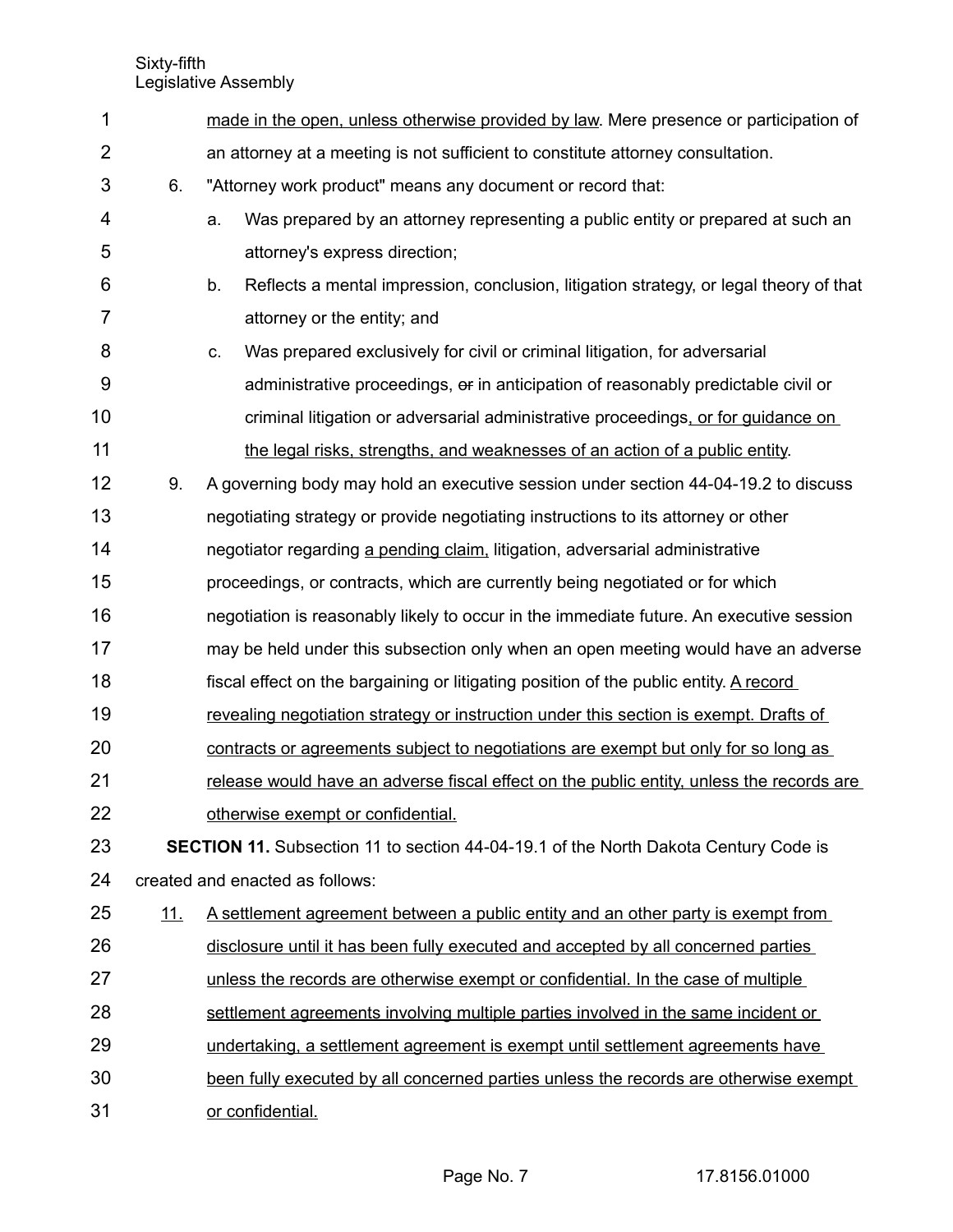| 1              |                                                                                            | made in the open, unless otherwise provided by law. Mere presence or participation of        |  |  |  |  |
|----------------|--------------------------------------------------------------------------------------------|----------------------------------------------------------------------------------------------|--|--|--|--|
| $\overline{2}$ |                                                                                            | an attorney at a meeting is not sufficient to constitute attorney consultation.              |  |  |  |  |
| 3              | 6.                                                                                         | "Attorney work product" means any document or record that:                                   |  |  |  |  |
| 4              |                                                                                            | Was prepared by an attorney representing a public entity or prepared at such an<br>a.        |  |  |  |  |
| 5              |                                                                                            | attorney's express direction;                                                                |  |  |  |  |
| 6              |                                                                                            | b.<br>Reflects a mental impression, conclusion, litigation strategy, or legal theory of that |  |  |  |  |
| $\overline{7}$ |                                                                                            | attorney or the entity; and                                                                  |  |  |  |  |
| 8              |                                                                                            | Was prepared exclusively for civil or criminal litigation, for adversarial<br>C.             |  |  |  |  |
| 9              |                                                                                            | administrative proceedings, or in anticipation of reasonably predictable civil or            |  |  |  |  |
| 10             |                                                                                            | criminal litigation or adversarial administrative proceedings, or for guidance on            |  |  |  |  |
| 11             |                                                                                            | the legal risks, strengths, and weaknesses of an action of a public entity.                  |  |  |  |  |
| 12             | 9.                                                                                         | A governing body may hold an executive session under section 44-04-19.2 to discuss           |  |  |  |  |
| 13             |                                                                                            | negotiating strategy or provide negotiating instructions to its attorney or other            |  |  |  |  |
| 14             |                                                                                            | negotiator regarding a pending claim, litigation, adversarial administrative                 |  |  |  |  |
| 15             |                                                                                            | proceedings, or contracts, which are currently being negotiated or for which                 |  |  |  |  |
| 16             |                                                                                            | negotiation is reasonably likely to occur in the immediate future. An executive session      |  |  |  |  |
| 17             |                                                                                            | may be held under this subsection only when an open meeting would have an adverse            |  |  |  |  |
| 18             |                                                                                            | fiscal effect on the bargaining or litigating position of the public entity. A record        |  |  |  |  |
| 19             |                                                                                            | revealing negotiation strategy or instruction under this section is exempt. Drafts of        |  |  |  |  |
| 20             |                                                                                            | contracts or agreements subject to negotiations are exempt but only for so long as           |  |  |  |  |
| 21             |                                                                                            | release would have an adverse fiscal effect on the public entity, unless the records are     |  |  |  |  |
| 22             |                                                                                            | otherwise exempt or confidential.                                                            |  |  |  |  |
| 23             | <b>SECTION 11.</b> Subsection 11 to section 44-04-19.1 of the North Dakota Century Code is |                                                                                              |  |  |  |  |
| 24             | created and enacted as follows:                                                            |                                                                                              |  |  |  |  |
| 25             | <u>11.</u>                                                                                 | <u>A settlement agreement between a public entity and an other party is exempt from</u>      |  |  |  |  |
| 26             |                                                                                            | disclosure until it has been fully executed and accepted by all concerned parties            |  |  |  |  |
| 27             |                                                                                            | unless the records are otherwise exempt or confidential. In the case of multiple             |  |  |  |  |
| 28             |                                                                                            | settlement agreements involving multiple parties involved in the same incident or            |  |  |  |  |
| 29             |                                                                                            | undertaking, a settlement agreement is exempt until settlement agreements have               |  |  |  |  |
| 30             |                                                                                            | been fully executed by all concerned parties unless the records are otherwise exempt         |  |  |  |  |
| 31             |                                                                                            | or confidential.                                                                             |  |  |  |  |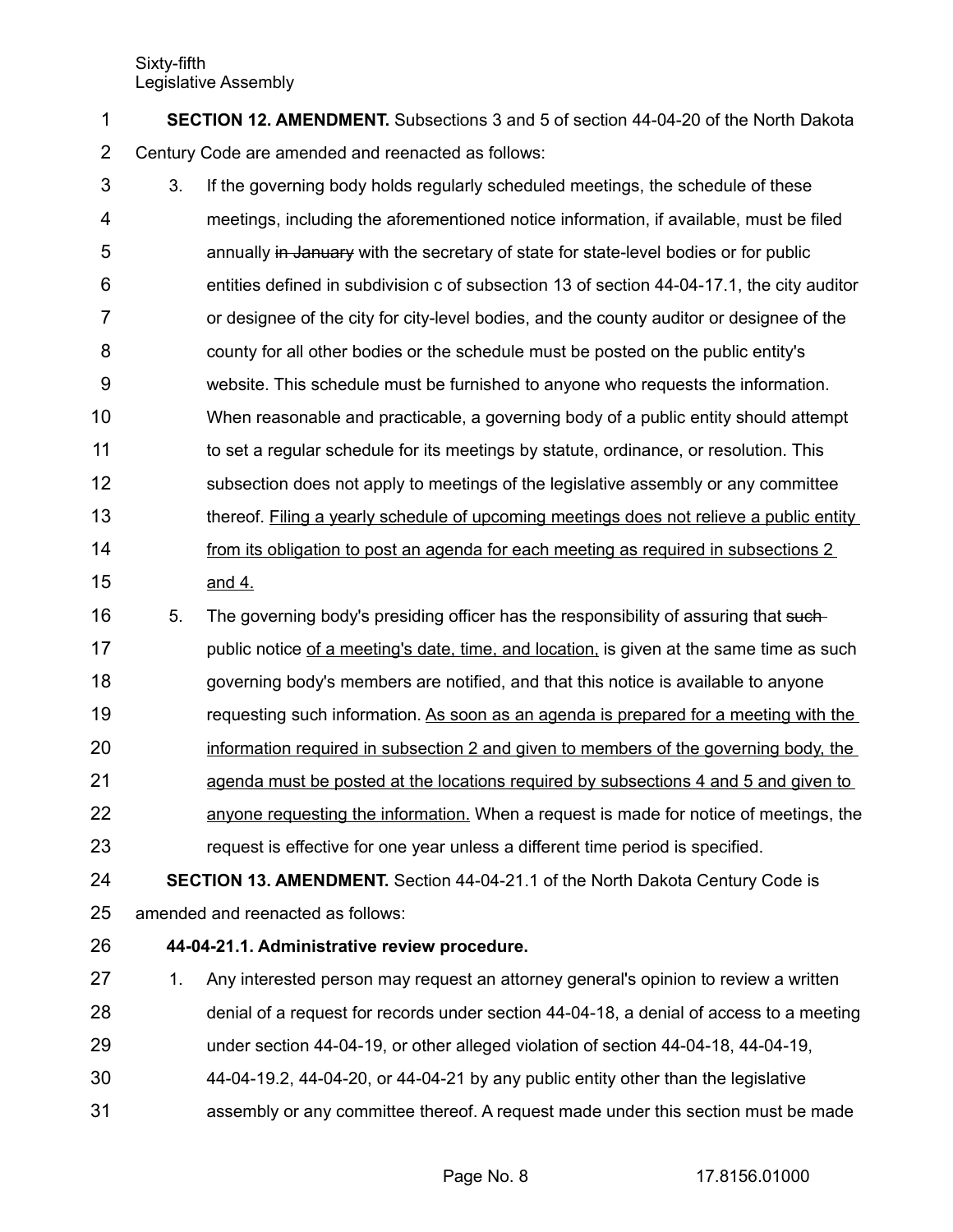**SECTION 12. AMENDMENT.** Subsections 3 and 5 of section 44-04-20 of the North Dakota Century Code are amended and reenacted as follows: 1 2

- 3. If the governing body holds regularly scheduled meetings, the schedule of these meetings, including the aforementioned notice information, if available, must be filed annually in January with the secretary of state for state-level bodies or for public entities defined in subdivision c of subsection 13 of section 44-04-17.1, the city auditor or designee of the city for city-level bodies, and the county auditor or designee of the county for all other bodies or the schedule must be posted on the public entity's website. This schedule must be furnished to anyone who requests the information. When reasonable and practicable, a governing body of a public entity should attempt to set a regular schedule for its meetings by statute, ordinance, or resolution. This subsection does not apply to meetings of the legislative assembly or any committee thereof. Filing a yearly schedule of upcoming meetings does not relieve a public entity from its obligation to post an agenda for each meeting as required in subsections 2 and 4. 3 4 5 6 7 8 9 10 11 12 13 14 15
- 5. The governing body's presiding officer has the responsibility of assuring that suchpublic notice of a meeting's date, time, and location, is given at the same time as such governing body's members are notified, and that this notice is available to anyone requesting such information. As soon as an agenda is prepared for a meeting with the information required in subsection 2 and given to members of the governing body, the agenda must be posted at the locations required by subsections 4 and 5 and given to 16 17 18 19 20 21
- anyone requesting the information. When a request is made for notice of meetings, the request is effective for one year unless a different time period is specified. 22 23
- **SECTION 13. AMENDMENT.** Section 44-04-21.1 of the North Dakota Century Code is amended and reenacted as follows: 24 25
- **44-04-21.1. Administrative review procedure.** 26
- 1. Any interested person may request an attorney general's opinion to review a written denial of a request for records under section 44-04-18, a denial of access to a meeting 27 28
- under section 44-04-19, or other alleged violation of section 44-04-18, 44-04-19, 29
- 44-04-19.2, 44-04-20, or 44-04-21 by any public entity other than the legislative 30
- assembly or any committee thereof. A request made under this section must be made 31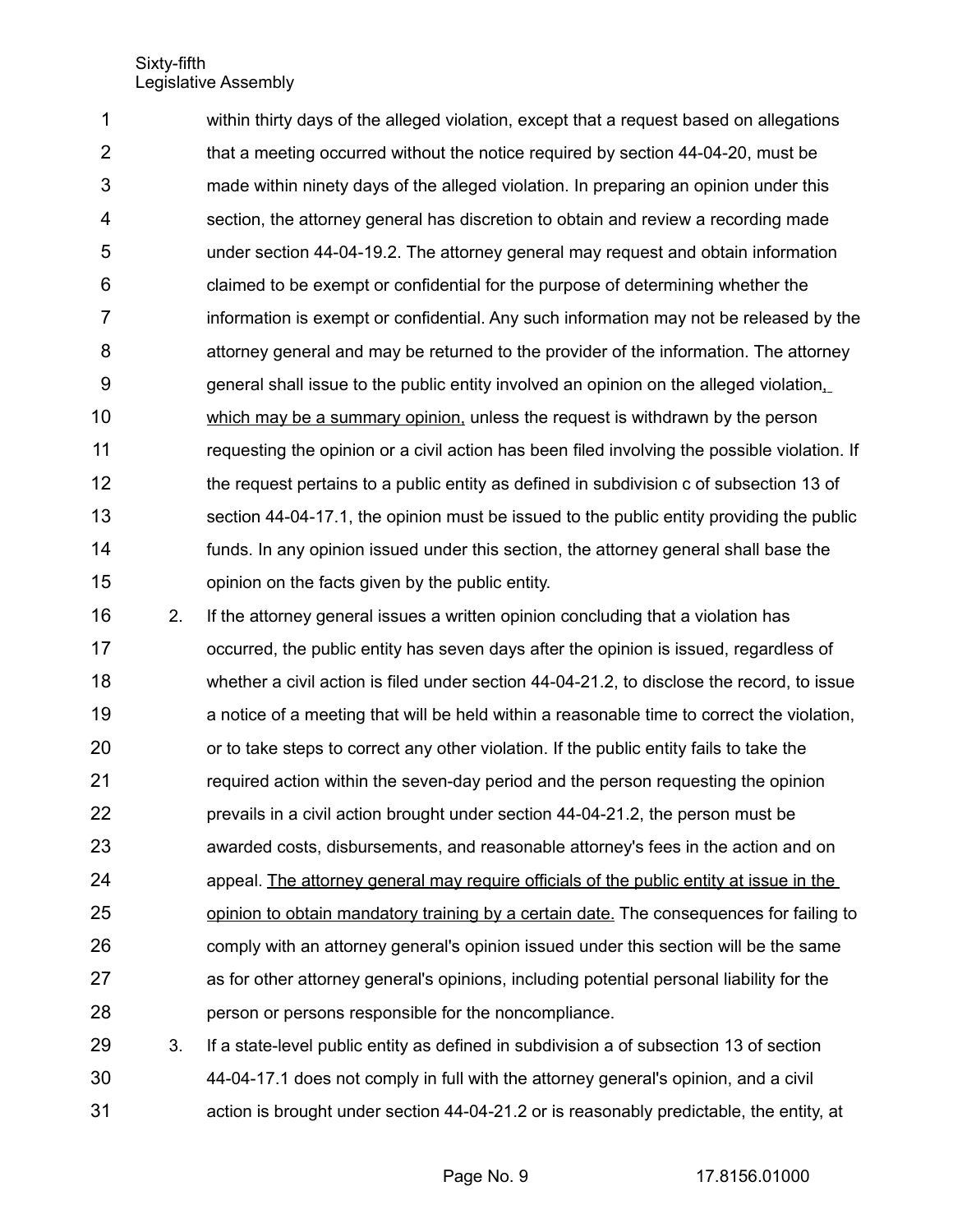within thirty days of the alleged violation, except that a request based on allegations that a meeting occurred without the notice required by section 44-04-20, must be made within ninety days of the alleged violation. In preparing an opinion under this section, the attorney general has discretion to obtain and review a recording made under section 44-04-19.2. The attorney general may request and obtain information claimed to be exempt or confidential for the purpose of determining whether the information is exempt or confidential. Any such information may not be released by the attorney general and may be returned to the provider of the information. The attorney general shall issue to the public entity involved an opinion on the alleged violation, which may be a summary opinion, unless the request is withdrawn by the person requesting the opinion or a civil action has been filed involving the possible violation. If the request pertains to a public entity as defined in subdivision c of subsection 13 of section 44-04-17.1, the opinion must be issued to the public entity providing the public funds. In any opinion issued under this section, the attorney general shall base the opinion on the facts given by the public entity. 1 2 3 4 5 6 7 8 9 10 11 12 13 14 15

2. If the attorney general issues a written opinion concluding that a violation has occurred, the public entity has seven days after the opinion is issued, regardless of whether a civil action is filed under section 44-04-21.2, to disclose the record, to issue a notice of a meeting that will be held within a reasonable time to correct the violation, or to take steps to correct any other violation. If the public entity fails to take the required action within the seven-day period and the person requesting the opinion prevails in a civil action brought under section 44-04-21.2, the person must be awarded costs, disbursements, and reasonable attorney's fees in the action and on appeal. The attorney general may require officials of the public entity at issue in the opinion to obtain mandatory training by a certain date. The consequences for failing to comply with an attorney general's opinion issued under this section will be the same as for other attorney general's opinions, including potential personal liability for the person or persons responsible for the noncompliance. 16 17 18 19 20 21 22 23 24 25 26 27 28

3. If a state-level public entity as defined in subdivision a of subsection 13 of section 44-04-17.1 does not comply in full with the attorney general's opinion, and a civil action is brought under section 44-04-21.2 or is reasonably predictable, the entity, at 29 30 31